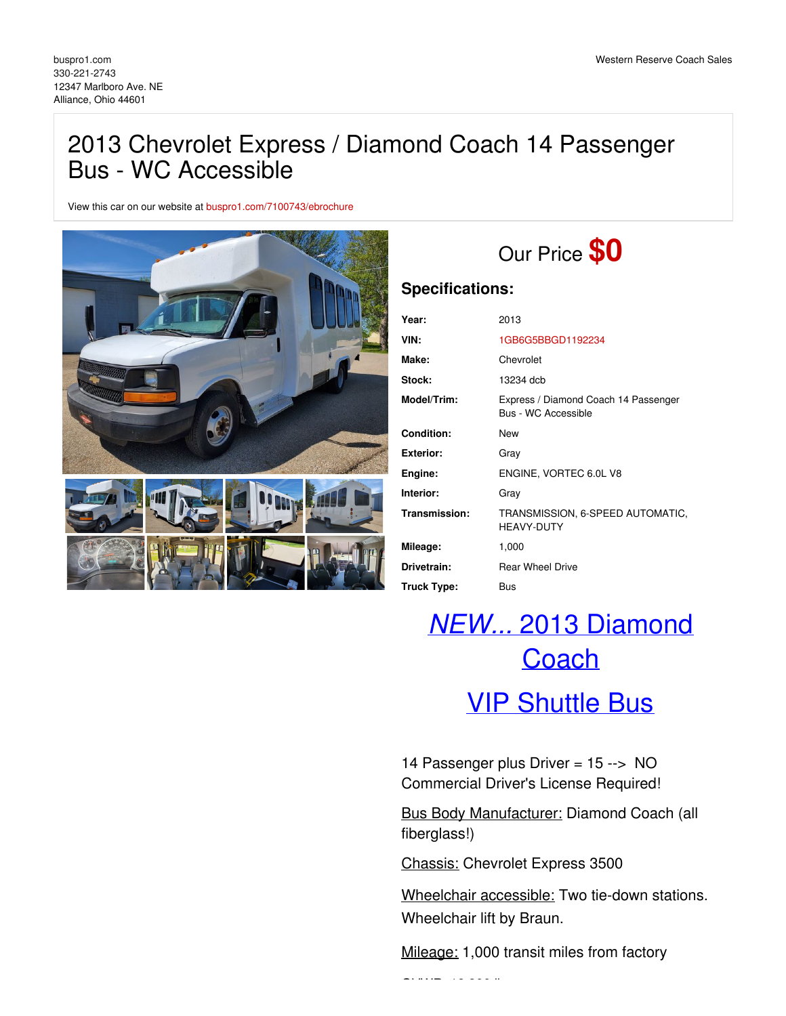### 2013 Chevrolet Express / Diamond Coach 14 Passenger Bus - WC Accessible

View this car on our website at [buspro1.com/7100743/ebrochure](https://buspro1.com/vehicle/7100743/2013-chevrolet-express-diamond-coach-14-passenger-bus-wc-accessible-alliance-ohio-44601/7100743/ebrochure)



## Our Price **\$0**

### **Specifications:**

| Year:              | 2013                                                        |
|--------------------|-------------------------------------------------------------|
| VIN:               | 1GB6G5BBGD1192234                                           |
| Make:              | Chevrolet                                                   |
| Stock:             | 13234 dcb                                                   |
| Model/Trim:        | Express / Diamond Coach 14 Passenger<br>Bus - WC Accessible |
| Condition:         | New                                                         |
| Exterior:          | Gray                                                        |
| Engine:            | ENGINE, VORTEC 6.0L V8                                      |
| Interior:          | Gray                                                        |
| Transmission:      | TRANSMISSION, 6-SPEED AUTOMATIC,<br><b>HEAVY-DUTY</b>       |
| Mileage:           | 1,000                                                       |
| Drivetrain:        | <b>Rear Wheel Drive</b>                                     |
| <b>Truck Type:</b> | <b>Bus</b>                                                  |

# *NEW...* 2013 Diamond **Coach**

### VIP Shuttle Bus

14 Passenger plus Driver = 15 --> NO Commercial Driver's License Required!

Bus Body Manufacturer: Diamond Coach (all fiberglass!)

Chassis: Chevrolet Express 3500

Wheelchair accessible: Two tie-down stations. Wheelchair lift by Braun.

Mileage: 1,000 transit miles from factory

GVWR: 12,300 lbs.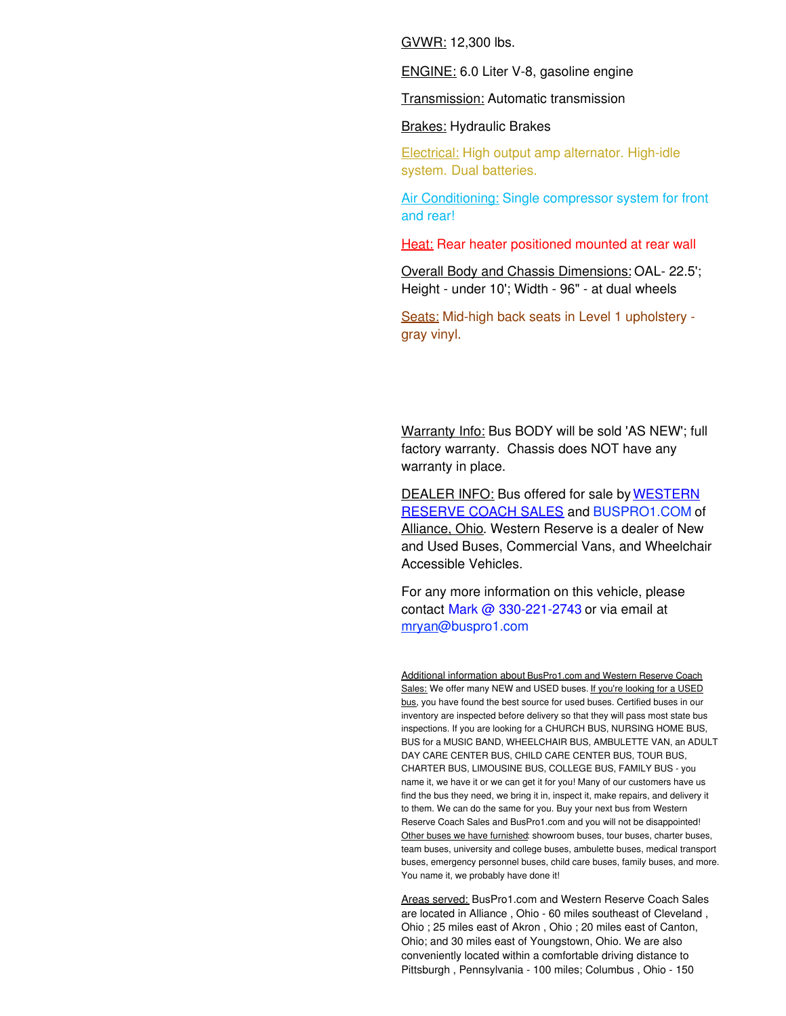GVWR: 12,300 lbs.

ENGINE: 6.0 Liter V-8, gasoline engine

Transmission: Automatic transmission

Brakes: Hydraulic Brakes

Electrical: High output amp alternator. High-idle system. Dual batteries.

Air Conditioning: Single compressor system for front and rear!

Heat: Rear heater positioned mounted at rear wall

Overall Body and Chassis Dimensions: OAL- 22.5'; Height - under 10'; Width - 96" - at dual wheels

Seats: Mid-high back seats in Level 1 upholstery gray vinyl.

Warranty Info: Bus BODY will be sold 'AS NEW'; full factory warranty. Chassis does NOT have any warranty in place.

DEALER INFO: Bus offered for sale by WESTERN RESERVE COACH SALES and BUSPRO1.COM of Alliance, Ohio. Western Reserve is a dealer of New and Used Buses, Commercial Vans, and Wheelchair Accessible Vehicles.

For any more information on this vehicle, please contact Mark @ 330-221-2743 or via email at mrya[n@buspro1.com](mailto:mryan@buspro1.com)

Additional information about BusPro1.com and Western Reserve Coach Sales: We offer many NEW and USED buses. If you're looking for a USED bus, you have found the best source for used buses. Certified buses in our inventory are inspected before delivery so that they will pass most state bus inspections. If you are looking for a CHURCH BUS, NURSING HOME BUS, BUS for a MUSIC BAND, WHEELCHAIR BUS, AMBULETTE VAN, an ADULT DAY CARE CENTER BUS, CHILD CARE CENTER BUS, TOUR BUS, CHARTER BUS, LIMOUSINE BUS, COLLEGE BUS, FAMILY BUS - you name it, we have it or we can get it for you! Many of our customers have us find the bus they need, we bring it in, inspect it, make repairs, and delivery it to them. We can do the same for you. Buy your next bus from Western Reserve Coach Sales and BusPro1.com and you will not be disappointed! Other buses we have furnished: showroom buses, tour buses, charter buses, team buses, university and college buses, ambulette buses, medical transport buses, emergency personnel buses, child care buses, family buses, and more. You name it, we probably have done it!

Areas served: BusPro1.com and Western Reserve Coach Sales are located in Alliance , Ohio - 60 miles southeast of Cleveland , Ohio ; 25 miles east of Akron , Ohio ; 20 miles east of Canton, Ohio; and 30 miles east of Youngstown, Ohio. We are also conveniently located within a comfortable driving distance to Pittsburgh , Pennsylvania - 100 miles; Columbus , Ohio - 150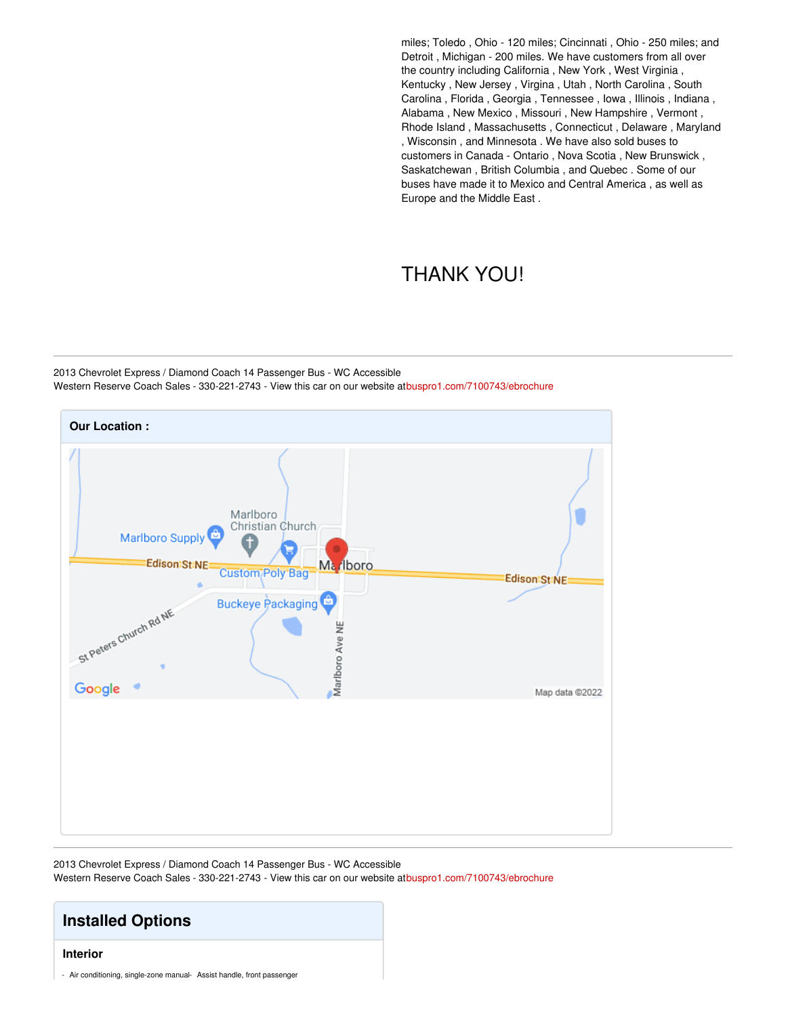miles; Toledo , Ohio - 120 miles; Cincinnati , Ohio - 250 miles; and Detroit , Michigan - 200 miles. We have customers from all over the country including California , New York , West Virginia , Kentucky , New Jersey , Virgina , Utah , North Carolina , South Carolina , Florida , Georgia , Tennessee , Iowa , Illinois , Indiana , Alabama , New Mexico , Missouri , New Hampshire , Vermont , Rhode Island , Massachusetts , Connecticut , Delaware , Maryland , Wisconsin , and Minnesota . We have also sold buses to customers in Canada - Ontario , Nova Scotia , New Brunswick , Saskatchewan , British Columbia , and Quebec . Some of our buses have made it to Mexico and Central America , as well as Europe and the Middle East .

### THANK YOU!

2013 Chevrolet Express / Diamond Coach 14 Passenger Bus - WC Accessible Western Reserve Coach Sales - 330-221-2743 - View this car on our website a[tbuspro1.com/7100743/ebrochure](https://buspro1.com/vehicle/7100743/2013-chevrolet-express-diamond-coach-14-passenger-bus-wc-accessible-alliance-ohio-44601/7100743/ebrochure)



2013 Chevrolet Express / Diamond Coach 14 Passenger Bus - WC Accessible Western Reserve Coach Sales - 330-221-2743 - View this car on our website a[tbuspro1.com/7100743/ebrochure](https://buspro1.com/vehicle/7100743/2013-chevrolet-express-diamond-coach-14-passenger-bus-wc-accessible-alliance-ohio-44601/7100743/ebrochure)

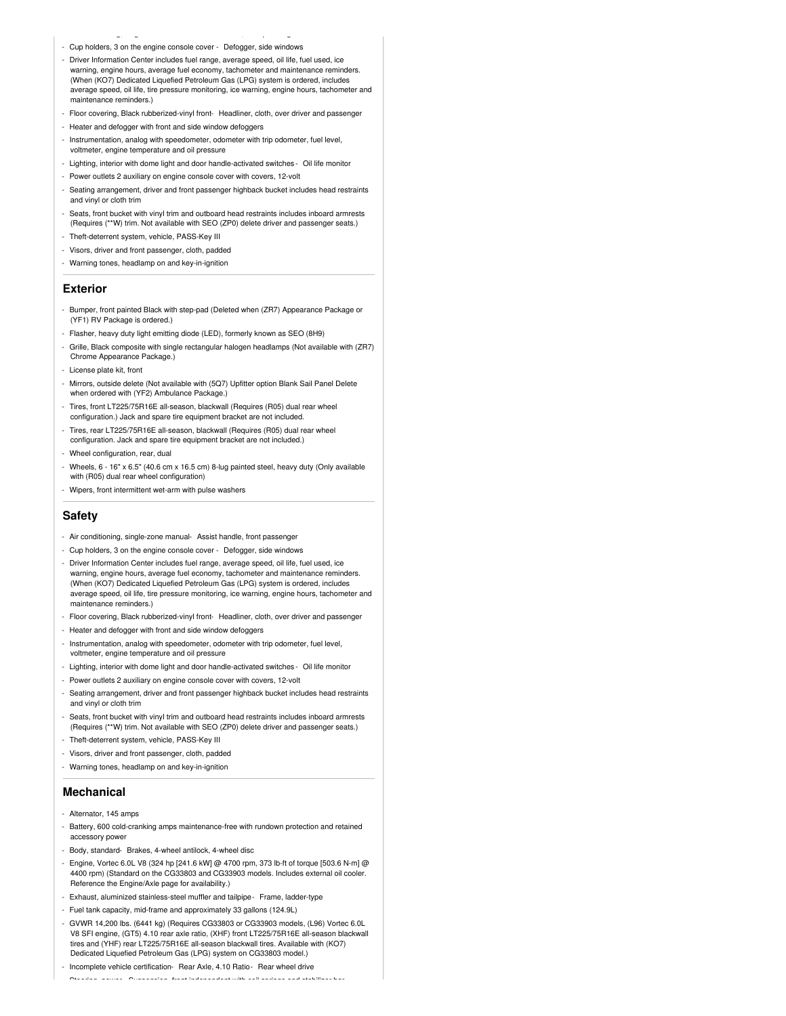- Air conditioning, single-zone manual- Assist handle, front passenger - Cup holders, 3 on the engine console cover - Defogger, side windows
- Driver Information Center includes fuel range, average speed, oil life, fuel used, ice warning, engine hours, average fuel economy, tachometer and maintenance reminders. (When (KO7) Dedicated Liquefied Petroleum Gas (LPG) system is ordered, includes average speed, oil life, tire pressure monitoring, ice warning, engine hours, tachometer and maintenance reminders.)
- Floor covering, Black rubberized-vinyl front- Headliner, cloth, over driver and passenger
- Heater and defogger with front and side window defoggers
- Instrumentation, analog with speedometer, odometer with trip odometer, fuel level, voltmeter, engine temperature and oil pressure
- Lighting, interior with dome light and door handle-activated switches Oil life monitor
- Power outlets 2 auxiliary on engine console cover with covers, 12-volt
- Seating arrangement, driver and front passenger highback bucket includes head restraints and vinyl or cloth trim
- Seats, front bucket with vinyl trim and outboard head restraints includes inboard armrests (Requires (\*\*W) trim. Not available with SEO (ZP0) delete driver and passenger seats.)
- Theft-deterrent system, vehicle, PASS-Key III
- Visors, driver and front passenger, cloth, padded
- Warning tones, headlamp on and key-in-ignition

#### **Exterior**

- Bumper, front painted Black with step-pad (Deleted when (ZR7) Appearance Package or (YF1) RV Package is ordered.)
- Flasher, heavy duty light emitting diode (LED), formerly known as SEO (8H9)
- Grille, Black composite with single rectangular halogen headlamps (Not available with (ZR7) Chrome Appearance Package.)
- License plate kit, front
- Mirrors, outside delete (Not available with (5Q7) Upfitter option Blank Sail Panel Delete when ordered with (YF2) Ambulance Package.)
- Tires, front LT225/75R16E all-season, blackwall (Requires (R05) dual rear wheel configuration.) Jack and spare tire equipment bracket are not included.
- Tires, rear LT225/75R16E all-season, blackwall (Requires (R05) dual rear wheel configuration. Jack and spare tire equipment bracket are not included.)
- Wheel configuration, rear, dual
- Wheels, 6 16" x 6.5" (40.6 cm x 16.5 cm) 8-lug painted steel, heavy duty (Only available with (R05) dual rear wheel configuration)
- Wipers, front intermittent wet-arm with pulse washers

#### **Safety**

- Air conditioning, single-zone manual- Assist handle, front passenger
- Cup holders, 3 on the engine console cover Defogger, side windows
- Driver Information Center includes fuel range, average speed, oil life, fuel used, ice warning, engine hours, average fuel economy, tachometer and maintenance reminders. (When (KO7) Dedicated Liquefied Petroleum Gas (LPG) system is ordered, includes average speed, oil life, tire pressure monitoring, ice warning, engine hours, tachometer and maintenance reminders.)
- Floor covering, Black rubberized-vinyl front- Headliner, cloth, over driver and passenger
- Heater and defogger with front and side window defoggers - Instrumentation, analog with speedometer, odometer with trip odometer, fuel level,
- voltmeter, engine temperature and oil pressure
- Lighting, interior with dome light and door handle-activated switches Oil life monitor
- Power outlets 2 auxiliary on engine console cover with covers, 12-volt
- Seating arrangement, driver and front passenger highback bucket includes head restraints and vinyl or cloth trim
- Seats, front bucket with vinyl trim and outboard head restraints includes inboard armrests (Requires (\*\*W) trim. Not available with SEO (ZP0) delete driver and passenger seats.)
- Theft-deterrent system, vehicle, PASS-Key III
- Visors, driver and front passenger, cloth, padded
- Warning tones, headlamp on and key-in-ignition

#### **Mechanical**

- Alternator, 145 amps
- Battery, 600 cold-cranking amps maintenance-free with rundown protection and retained accessory power
- Body, standard- Brakes, 4-wheel antilock, 4-wheel disc
- Engine, Vortec 6.0L V8 (324 hp [241.6 kW] @ 4700 rpm, 373 lb-ft of torque [503.6 N-m] @ 4400 rpm) (Standard on the CG33803 and CG33903 models. Includes external oil cooler. Reference the Engine/Axle page for availability.)
- Exhaust, aluminized stainless-steel muffler and tailpipe- Frame, ladder-type
- Fuel tank capacity, mid-frame and approximately 33 gallons (124.9L)
- GVWR 14,200 lbs. (6441 kg) (Requires CG33803 or CG33903 models, (L96) Vortec 6.0L V8 SFI engine, (GT5) 4.10 rear axle ratio, (XHF) front LT225/75R16E all-season blackwall tires and (YHF) rear LT225/75R16E all-season blackwall tires. Available with (KO7) Dedicated Liquefied Petroleum Gas (LPG) system on CG33803 model.)
- Incomplete vehicle certification- Rear Axle, 4.10 Ratio- Rear wheel drive - Steering, power- Suspension, front independent with coil springs and stabilizer bar